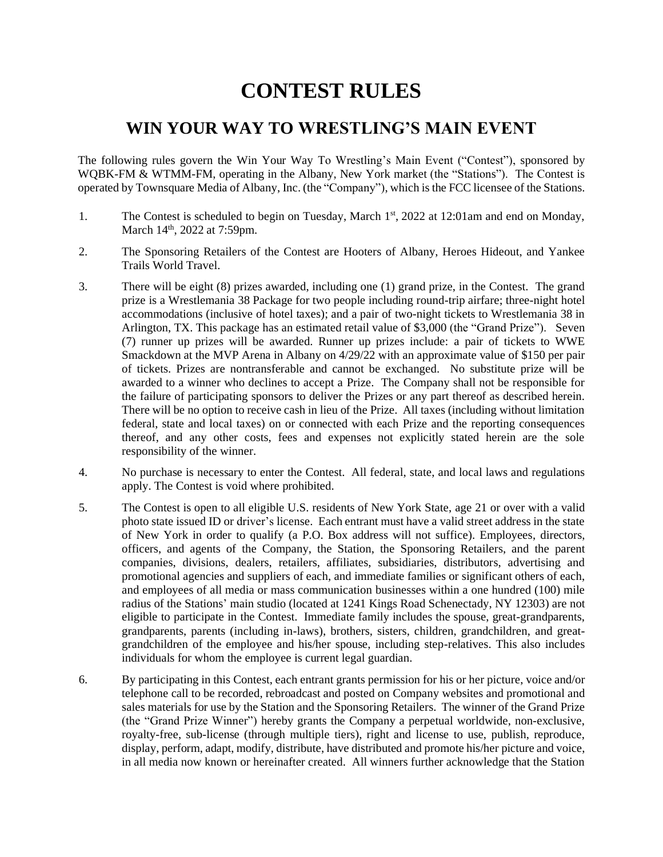## **CONTEST RULES**

## **WIN YOUR WAY TO WRESTLING'S MAIN EVENT**

The following rules govern the Win Your Way To Wrestling's Main Event ("Contest"), sponsored by WQBK-FM & WTMM-FM, operating in the Albany, New York market (the "Stations"). The Contest is operated by Townsquare Media of Albany, Inc. (the "Company"), which is the FCC licensee of the Stations.

- 1. The Contest is scheduled to begin on Tuesday, March  $1<sup>st</sup>$ , 2022 at 12:01am and end on Monday, March 14<sup>th</sup>, 2022 at 7:59pm.
- 2. The Sponsoring Retailers of the Contest are Hooters of Albany, Heroes Hideout, and Yankee Trails World Travel.
- 3. There will be eight (8) prizes awarded, including one (1) grand prize, in the Contest. The grand prize is a Wrestlemania 38 Package for two people including round-trip airfare; three-night hotel accommodations (inclusive of hotel taxes); and a pair of two-night tickets to Wrestlemania 38 in Arlington, TX. This package has an estimated retail value of \$3,000 (the "Grand Prize"). Seven (7) runner up prizes will be awarded. Runner up prizes include: a pair of tickets to WWE Smackdown at the MVP Arena in Albany on 4/29/22 with an approximate value of \$150 per pair of tickets. Prizes are nontransferable and cannot be exchanged. No substitute prize will be awarded to a winner who declines to accept a Prize. The Company shall not be responsible for the failure of participating sponsors to deliver the Prizes or any part thereof as described herein. There will be no option to receive cash in lieu of the Prize. All taxes (including without limitation federal, state and local taxes) on or connected with each Prize and the reporting consequences thereof, and any other costs, fees and expenses not explicitly stated herein are the sole responsibility of the winner.
- 4. No purchase is necessary to enter the Contest. All federal, state, and local laws and regulations apply. The Contest is void where prohibited.
- 5. The Contest is open to all eligible U.S. residents of New York State, age 21 or over with a valid photo state issued ID or driver's license. Each entrant must have a valid street address in the state of New York in order to qualify (a P.O. Box address will not suffice). Employees, directors, officers, and agents of the Company, the Station, the Sponsoring Retailers, and the parent companies, divisions, dealers, retailers, affiliates, subsidiaries, distributors, advertising and promotional agencies and suppliers of each, and immediate families or significant others of each, and employees of all media or mass communication businesses within a one hundred (100) mile radius of the Stations' main studio (located at 1241 Kings Road Schenectady, NY 12303) are not eligible to participate in the Contest. Immediate family includes the spouse, great-grandparents, grandparents, parents (including in-laws), brothers, sisters, children, grandchildren, and greatgrandchildren of the employee and his/her spouse, including step-relatives. This also includes individuals for whom the employee is current legal guardian.
- 6. By participating in this Contest, each entrant grants permission for his or her picture, voice and/or telephone call to be recorded, rebroadcast and posted on Company websites and promotional and sales materials for use by the Station and the Sponsoring Retailers. The winner of the Grand Prize (the "Grand Prize Winner") hereby grants the Company a perpetual worldwide, non-exclusive, royalty-free, sub-license (through multiple tiers), right and license to use, publish, reproduce, display, perform, adapt, modify, distribute, have distributed and promote his/her picture and voice, in all media now known or hereinafter created. All winners further acknowledge that the Station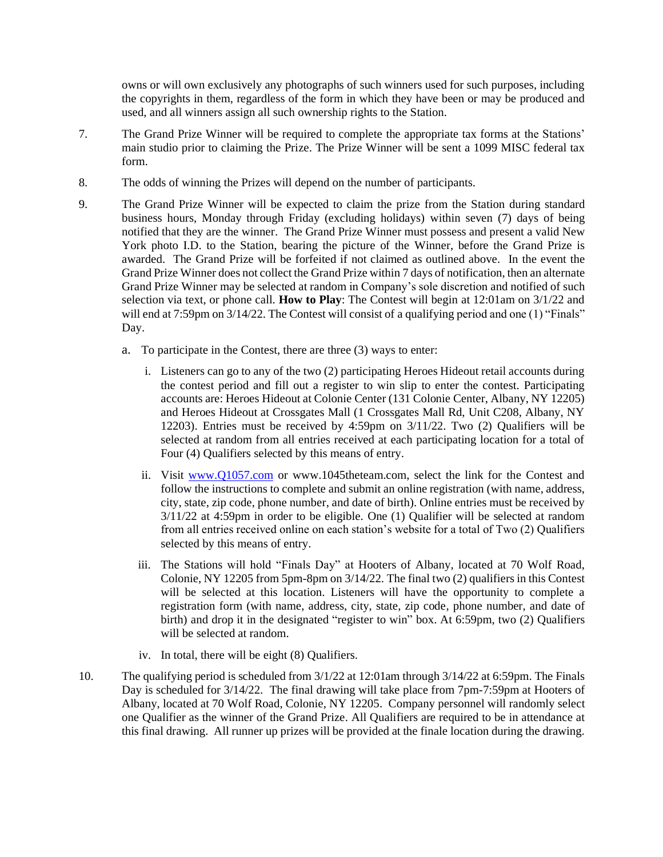owns or will own exclusively any photographs of such winners used for such purposes, including the copyrights in them, regardless of the form in which they have been or may be produced and used, and all winners assign all such ownership rights to the Station.

- 7. The Grand Prize Winner will be required to complete the appropriate tax forms at the Stations' main studio prior to claiming the Prize. The Prize Winner will be sent a 1099 MISC federal tax form.
- 8. The odds of winning the Prizes will depend on the number of participants.
- 9. The Grand Prize Winner will be expected to claim the prize from the Station during standard business hours, Monday through Friday (excluding holidays) within seven (7) days of being notified that they are the winner. The Grand Prize Winner must possess and present a valid New York photo I.D. to the Station, bearing the picture of the Winner, before the Grand Prize is awarded. The Grand Prize will be forfeited if not claimed as outlined above. In the event the Grand Prize Winner does not collect the Grand Prize within 7 days of notification, then an alternate Grand Prize Winner may be selected at random in Company's sole discretion and notified of such selection via text, or phone call. **How to Play**: The Contest will begin at 12:01am on 3/1/22 and will end at 7:59pm on  $3/14/22$ . The Contest will consist of a qualifying period and one (1) "Finals" Day.
	- a. To participate in the Contest, there are three (3) ways to enter:
		- i. Listeners can go to any of the two (2) participating Heroes Hideout retail accounts during the contest period and fill out a register to win slip to enter the contest. Participating accounts are: Heroes Hideout at Colonie Center (131 Colonie Center, Albany, NY 12205) and Heroes Hideout at Crossgates Mall (1 Crossgates Mall Rd, Unit C208, Albany, NY 12203). Entries must be received by 4:59pm on 3/11/22. Two (2) Qualifiers will be selected at random from all entries received at each participating location for a total of Four (4) Qualifiers selected by this means of entry.
		- ii. Visit [www.Q1057.com](http://www.q1057.com/) or www.1045theteam.com, select the link for the Contest and follow the instructions to complete and submit an online registration (with name, address, city, state, zip code, phone number, and date of birth). Online entries must be received by 3/11/22 at 4:59pm in order to be eligible. One (1) Qualifier will be selected at random from all entries received online on each station's website for a total of Two (2) Qualifiers selected by this means of entry.
		- iii. The Stations will hold "Finals Day" at Hooters of Albany, located at 70 Wolf Road, Colonie, NY 12205 from 5pm-8pm on 3/14/22. The final two (2) qualifiers in this Contest will be selected at this location. Listeners will have the opportunity to complete a registration form (with name, address, city, state, zip code, phone number, and date of birth) and drop it in the designated "register to win" box. At 6:59pm, two (2) Qualifiers will be selected at random.
		- iv. In total, there will be eight (8) Qualifiers.
- 10. The qualifying period is scheduled from 3/1/22 at 12:01am through 3/14/22 at 6:59pm. The Finals Day is scheduled for 3/14/22. The final drawing will take place from 7pm-7:59pm at Hooters of Albany, located at 70 Wolf Road, Colonie, NY 12205. Company personnel will randomly select one Qualifier as the winner of the Grand Prize. All Qualifiers are required to be in attendance at this final drawing. All runner up prizes will be provided at the finale location during the drawing.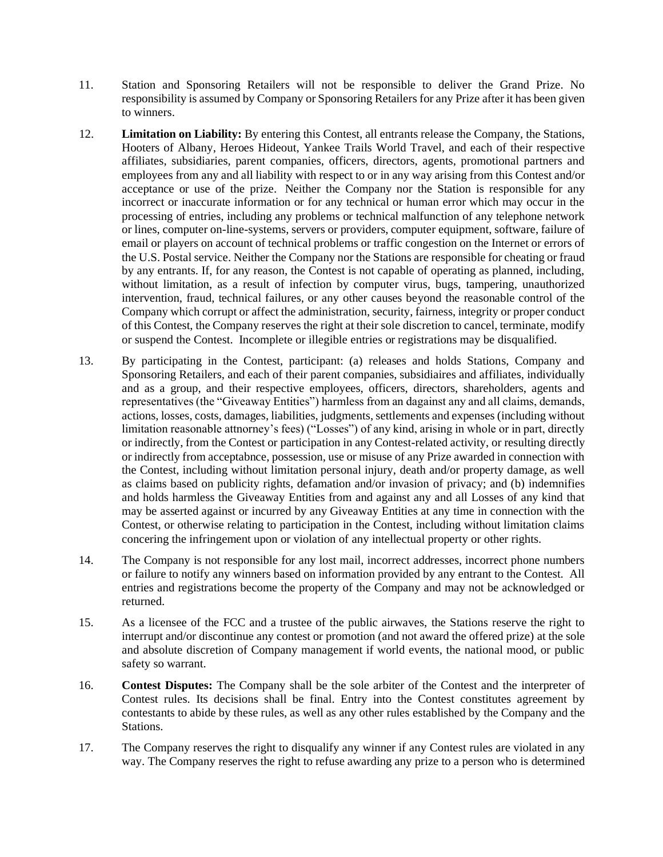- 11. Station and Sponsoring Retailers will not be responsible to deliver the Grand Prize. No responsibility is assumed by Company or Sponsoring Retailers for any Prize after it has been given to winners.
- 12. **Limitation on Liability:** By entering this Contest, all entrants release the Company, the Stations, Hooters of Albany, Heroes Hideout, Yankee Trails World Travel, and each of their respective affiliates, subsidiaries, parent companies, officers, directors, agents, promotional partners and employees from any and all liability with respect to or in any way arising from this Contest and/or acceptance or use of the prize. Neither the Company nor the Station is responsible for any incorrect or inaccurate information or for any technical or human error which may occur in the processing of entries, including any problems or technical malfunction of any telephone network or lines, computer on-line-systems, servers or providers, computer equipment, software, failure of email or players on account of technical problems or traffic congestion on the Internet or errors of the U.S. Postal service. Neither the Company nor the Stations are responsible for cheating or fraud by any entrants. If, for any reason, the Contest is not capable of operating as planned, including, without limitation, as a result of infection by computer virus, bugs, tampering, unauthorized intervention, fraud, technical failures, or any other causes beyond the reasonable control of the Company which corrupt or affect the administration, security, fairness, integrity or proper conduct of this Contest, the Company reserves the right at their sole discretion to cancel, terminate, modify or suspend the Contest. Incomplete or illegible entries or registrations may be disqualified.
- 13. By participating in the Contest, participant: (a) releases and holds Stations, Company and Sponsoring Retailers, and each of their parent companies, subsidiaires and affiliates, individually and as a group, and their respective employees, officers, directors, shareholders, agents and representatives (the "Giveaway Entities") harmless from an dagainst any and all claims, demands, actions, losses, costs, damages, liabilities, judgments, settlements and expenses (including without limitation reasonable attnorney's fees) ("Losses") of any kind, arising in whole or in part, directly or indirectly, from the Contest or participation in any Contest-related activity, or resulting directly or indirectly from acceptabnce, possession, use or misuse of any Prize awarded in connection with the Contest, including without limitation personal injury, death and/or property damage, as well as claims based on publicity rights, defamation and/or invasion of privacy; and (b) indemnifies and holds harmless the Giveaway Entities from and against any and all Losses of any kind that may be asserted against or incurred by any Giveaway Entities at any time in connection with the Contest, or otherwise relating to participation in the Contest, including without limitation claims concering the infringement upon or violation of any intellectual property or other rights.
- 14. The Company is not responsible for any lost mail, incorrect addresses, incorrect phone numbers or failure to notify any winners based on information provided by any entrant to the Contest. All entries and registrations become the property of the Company and may not be acknowledged or returned.
- 15. As a licensee of the FCC and a trustee of the public airwaves, the Stations reserve the right to interrupt and/or discontinue any contest or promotion (and not award the offered prize) at the sole and absolute discretion of Company management if world events, the national mood, or public safety so warrant.
- 16. **Contest Disputes:** The Company shall be the sole arbiter of the Contest and the interpreter of Contest rules. Its decisions shall be final. Entry into the Contest constitutes agreement by contestants to abide by these rules, as well as any other rules established by the Company and the Stations.
- 17. The Company reserves the right to disqualify any winner if any Contest rules are violated in any way. The Company reserves the right to refuse awarding any prize to a person who is determined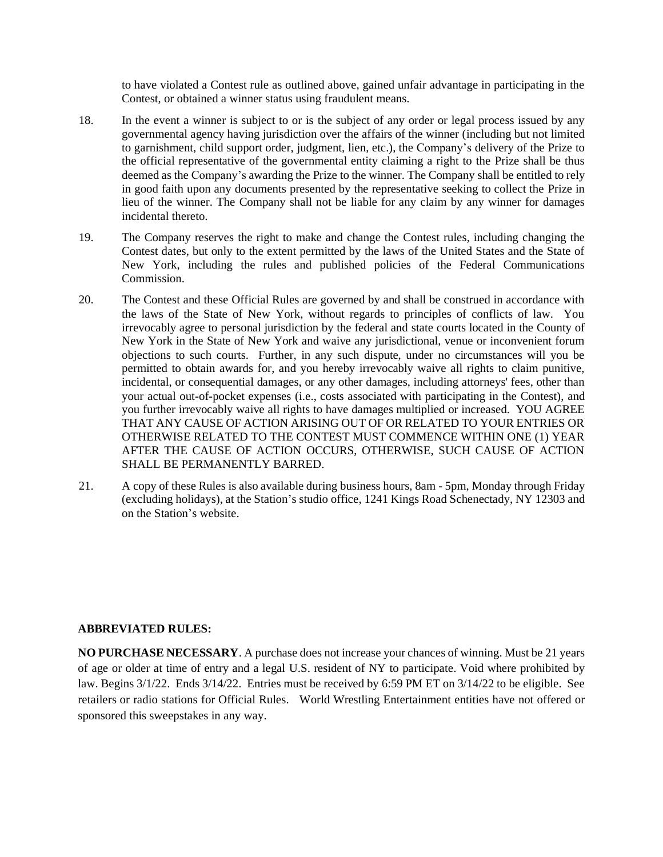to have violated a Contest rule as outlined above, gained unfair advantage in participating in the Contest, or obtained a winner status using fraudulent means.

- 18. In the event a winner is subject to or is the subject of any order or legal process issued by any governmental agency having jurisdiction over the affairs of the winner (including but not limited to garnishment, child support order, judgment, lien, etc.), the Company's delivery of the Prize to the official representative of the governmental entity claiming a right to the Prize shall be thus deemed as the Company's awarding the Prize to the winner. The Company shall be entitled to rely in good faith upon any documents presented by the representative seeking to collect the Prize in lieu of the winner. The Company shall not be liable for any claim by any winner for damages incidental thereto.
- 19. The Company reserves the right to make and change the Contest rules, including changing the Contest dates, but only to the extent permitted by the laws of the United States and the State of New York, including the rules and published policies of the Federal Communications Commission.
- 20. The Contest and these Official Rules are governed by and shall be construed in accordance with the laws of the State of New York, without regards to principles of conflicts of law. You irrevocably agree to personal jurisdiction by the federal and state courts located in the County of New York in the State of New York and waive any jurisdictional, venue or inconvenient forum objections to such courts. Further, in any such dispute, under no circumstances will you be permitted to obtain awards for, and you hereby irrevocably waive all rights to claim punitive, incidental, or consequential damages, or any other damages, including attorneys' fees, other than your actual out-of-pocket expenses (i.e., costs associated with participating in the Contest), and you further irrevocably waive all rights to have damages multiplied or increased. YOU AGREE THAT ANY CAUSE OF ACTION ARISING OUT OF OR RELATED TO YOUR ENTRIES OR OTHERWISE RELATED TO THE CONTEST MUST COMMENCE WITHIN ONE (1) YEAR AFTER THE CAUSE OF ACTION OCCURS, OTHERWISE, SUCH CAUSE OF ACTION SHALL BE PERMANENTLY BARRED.
- 21. A copy of these Rules is also available during business hours, 8am 5pm, Monday through Friday (excluding holidays), at the Station's studio office, 1241 Kings Road Schenectady, NY 12303 and on the Station's website.

## **ABBREVIATED RULES:**

**NO PURCHASE NECESSARY**. A purchase does not increase your chances of winning. Must be 21 years of age or older at time of entry and a legal U.S. resident of NY to participate. Void where prohibited by law. Begins 3/1/22. Ends 3/14/22. Entries must be received by 6:59 PM ET on 3/14/22 to be eligible. See retailers or radio stations for Official Rules. World Wrestling Entertainment entities have not offered or sponsored this sweepstakes in any way.